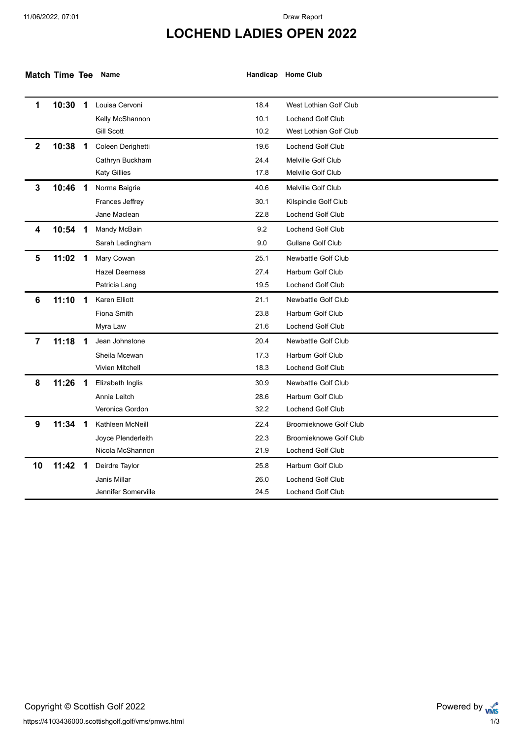## **LOCHEND LADIES OPEN 2022**

| Match Time Tee Name |  |  |
|---------------------|--|--|
|---------------------|--|--|

**Match Time Tee Name Handicap Home Club**

| 1              | 10:30 | $\mathbf 1$             | Louisa Cervoni         | 18.4 | West Lothian Golf Club        |
|----------------|-------|-------------------------|------------------------|------|-------------------------------|
|                |       |                         | Kelly McShannon        | 10.1 | <b>Lochend Golf Club</b>      |
|                |       |                         | Gill Scott             | 10.2 | West Lothian Golf Club        |
| $\mathbf{2}$   | 10:38 | $\mathbf 1$             | Coleen Derighetti      | 19.6 | <b>Lochend Golf Club</b>      |
|                |       |                         | Cathryn Buckham        | 24.4 | Melville Golf Club            |
|                |       |                         | <b>Katy Gillies</b>    | 17.8 | Melville Golf Club            |
| $\mathbf{3}$   | 10:46 | $\overline{\mathbf{1}}$ | Norma Baigrie          | 40.6 | Melville Golf Club            |
|                |       |                         | Frances Jeffrey        | 30.1 | Kilspindie Golf Club          |
|                |       |                         | Jane Maclean           | 22.8 | <b>Lochend Golf Club</b>      |
| 4              | 10:54 | -1                      | Mandy McBain           | 9.2  | <b>Lochend Golf Club</b>      |
|                |       |                         | Sarah Ledingham        | 9.0  | <b>Gullane Golf Club</b>      |
| 5              | 11:02 | $\overline{\mathbf{1}}$ | Mary Cowan             | 25.1 | Newbattle Golf Club           |
|                |       |                         | <b>Hazel Deerness</b>  | 27.4 | Harburn Golf Club             |
|                |       |                         | Patricia Lang          | 19.5 | <b>Lochend Golf Club</b>      |
| 6              | 11:10 | -1                      | <b>Karen Elliott</b>   | 21.1 | Newbattle Golf Club           |
|                |       |                         | <b>Fiona Smith</b>     | 23.8 | <b>Harburn Golf Club</b>      |
|                |       |                         | Myra Law               | 21.6 | <b>Lochend Golf Club</b>      |
| $\overline{7}$ | 11:18 | $\overline{\mathbf{1}}$ | Jean Johnstone         | 20.4 | Newbattle Golf Club           |
|                |       |                         | Sheila Mcewan          | 17.3 | <b>Harburn Golf Club</b>      |
|                |       |                         | <b>Vivien Mitchell</b> | 18.3 | <b>Lochend Golf Club</b>      |
| 8              | 11:26 | 1                       | Elizabeth Inglis       | 30.9 | Newbattle Golf Club           |
|                |       |                         | Annie Leitch           | 28.6 | Harburn Golf Club             |
|                |       |                         | Veronica Gordon        | 32.2 | <b>Lochend Golf Club</b>      |
| 9              | 11:34 | -1                      | Kathleen McNeill       | 22.4 | <b>Broomieknowe Golf Club</b> |
|                |       |                         | Joyce Plenderleith     | 22.3 | <b>Broomieknowe Golf Club</b> |
|                |       |                         | Nicola McShannon       | 21.9 | Lochend Golf Club             |
| 10             | 11:42 | $\overline{\mathbf{1}}$ | Deirdre Taylor         | 25.8 | Harburn Golf Club             |
|                |       |                         | Janis Millar           | 26.0 | <b>Lochend Golf Club</b>      |
|                |       |                         | Jennifer Somerville    | 24.5 | Lochend Golf Club             |
|                |       |                         |                        |      |                               |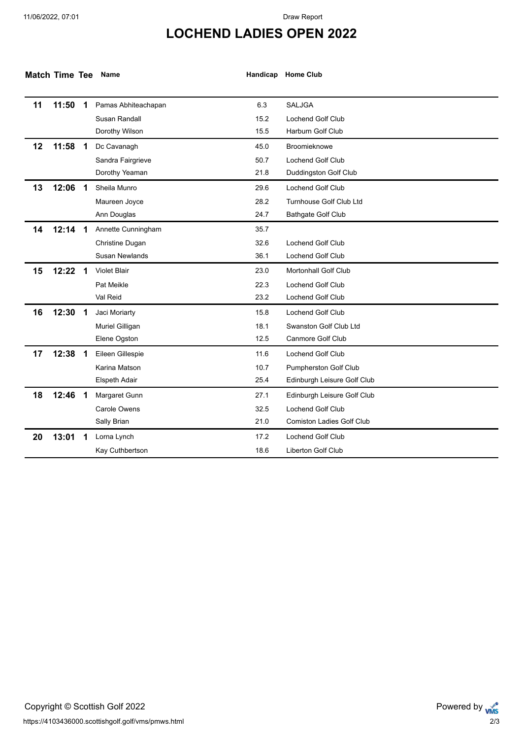## **LOCHEND LADIES OPEN 2022**

| <b>Match Time Tee</b> |       |                         | Name                  |      | Handicap Home Club               |
|-----------------------|-------|-------------------------|-----------------------|------|----------------------------------|
| 11                    | 11:50 | $\mathbf 1$             | Pamas Abhiteachapan   | 6.3  | <b>SALJGA</b>                    |
|                       |       |                         | Susan Randall         | 15.2 | Lochend Golf Club                |
|                       |       |                         | Dorothy Wilson        | 15.5 | Harburn Golf Club                |
|                       |       |                         |                       |      |                                  |
| 12                    | 11:58 | -1                      | Dc Cavanagh           | 45.0 | Broomieknowe                     |
|                       |       |                         | Sandra Fairgrieve     | 50.7 | Lochend Golf Club                |
|                       |       |                         | Dorothy Yeaman        | 21.8 | Duddingston Golf Club            |
| 13                    | 12:06 | $\overline{\mathbf{1}}$ | Sheila Munro          | 29.6 | Lochend Golf Club                |
|                       |       |                         | Maureen Joyce         | 28.2 | Turnhouse Golf Club Ltd          |
|                       |       |                         | Ann Douglas           | 24.7 | <b>Bathgate Golf Club</b>        |
| 14                    | 12:14 | - 1                     | Annette Cunningham    | 35.7 |                                  |
|                       |       |                         | Christine Dugan       | 32.6 | <b>Lochend Golf Club</b>         |
|                       |       |                         | <b>Susan Newlands</b> | 36.1 | <b>Lochend Golf Club</b>         |
| 15                    | 12:22 | -1                      | <b>Violet Blair</b>   | 23.0 | <b>Mortonhall Golf Club</b>      |
|                       |       |                         | Pat Meikle            | 22.3 | Lochend Golf Club                |
|                       |       |                         | Val Reid              | 23.2 | Lochend Golf Club                |
| 16                    | 12:30 | -1                      | Jaci Moriarty         | 15.8 | Lochend Golf Club                |
|                       |       |                         | Muriel Gilligan       | 18.1 | <b>Swanston Golf Club Ltd</b>    |
|                       |       |                         | Elene Ogston          | 12.5 | Canmore Golf Club                |
| 17                    | 12:38 | -1                      | Eileen Gillespie      | 11.6 | <b>Lochend Golf Club</b>         |
|                       |       |                         | Karina Matson         | 10.7 | Pumpherston Golf Club            |
|                       |       |                         | Elspeth Adair         | 25.4 | Edinburgh Leisure Golf Club      |
| 18                    | 12:46 | -1                      | Margaret Gunn         | 27.1 | Edinburgh Leisure Golf Club      |
|                       |       |                         | Carole Owens          | 32.5 | <b>Lochend Golf Club</b>         |
|                       |       |                         | Sally Brian           | 21.0 | <b>Comiston Ladies Golf Club</b> |
| 20                    | 13:01 |                         | Lorna Lynch           | 17.2 | <b>Lochend Golf Club</b>         |
|                       |       |                         | Kay Cuthbertson       | 18.6 | <b>Liberton Golf Club</b>        |